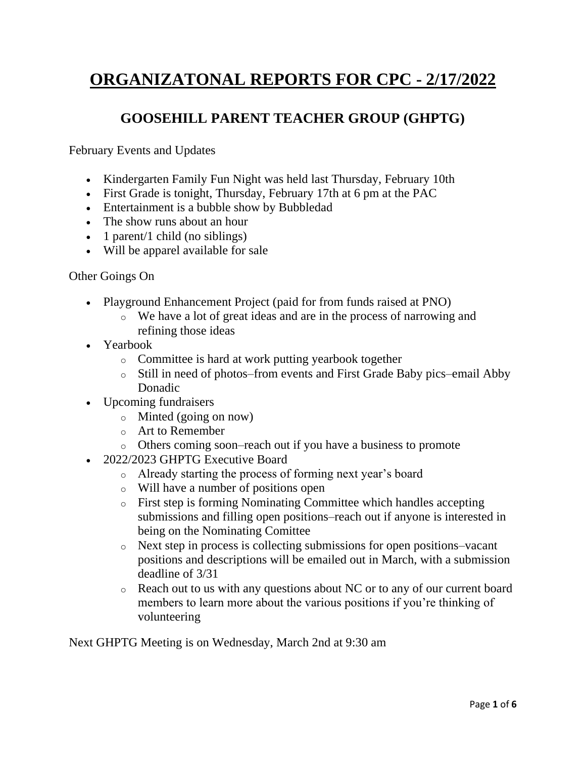# **ORGANIZATONAL REPORTS FOR CPC - 2/17/2022**

#### **GOOSEHILL PARENT TEACHER GROUP (GHPTG)**

February Events and Updates

- Kindergarten Family Fun Night was held last Thursday, February 10th
- First Grade is tonight, Thursday, February 17th at 6 pm at the PAC
- Entertainment is a bubble show by Bubbledad
- The show runs about an hour
- 1 parent/1 child (no siblings)
- Will be apparel available for sale

#### Other Goings On

- Playground Enhancement Project (paid for from funds raised at PNO)
	- o We have a lot of great ideas and are in the process of narrowing and refining those ideas
- Yearbook
	- o Committee is hard at work putting yearbook together
	- o Still in need of photos–from events and First Grade Baby pics–email Abby Donadic
- Upcoming fundraisers
	- o Minted (going on now)
	- o Art to Remember
	- o Others coming soon–reach out if you have a business to promote
- 2022/2023 GHPTG Executive Board
	- o Already starting the process of forming next year's board
	- o Will have a number of positions open
	- o First step is forming Nominating Committee which handles accepting submissions and filling open positions–reach out if anyone is interested in being on the Nominating Comittee
	- o Next step in process is collecting submissions for open positions–vacant positions and descriptions will be emailed out in March, with a submission deadline of 3/31
	- o Reach out to us with any questions about NC or to any of our current board members to learn more about the various positions if you're thinking of volunteering

Next GHPTG Meeting is on Wednesday, March 2nd at 9:30 am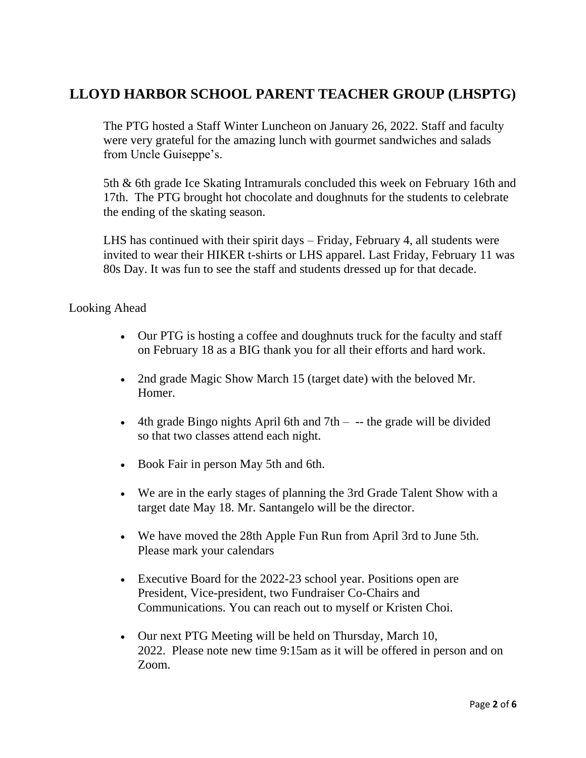### **LLOYD HARBOR SCHOOL PARENT TEACHER GROUP (LHSPTG)**

The PTG hosted a Staff Winter Luncheon on January 26, 2022. Staff and faculty were very grateful for the amazing lunch with gourmet sandwiches and salads from Uncle Guiseppe's.

5th & 6th grade Ice Skating Intramurals concluded this week on February 16th and 17th. The PTG brought hot chocolate and doughnuts for the students to celebrate the ending of the skating season.

LHS has continued with their spirit days – Friday, February 4, all students were invited to wear their HIKER t-shirts or LHS apparel. Last Friday, February 11 was 80s Day. It was fun to see the staff and students dressed up for that decade.

#### Looking Ahead

- Our PTG is hosting a coffee and doughnuts truck for the faculty and staff on February 18 as a BIG thank you for all their efforts and hard work.
- 2nd grade Magic Show March 15 (target date) with the beloved Mr. Homer.
- 4th grade Bingo nights April 6th and  $7th -$  the grade will be divided so that two classes attend each night.
- Book Fair in person May 5th and 6th.
- We are in the early stages of planning the 3rd Grade Talent Show with a target date May 18. Mr. Santangelo will be the director.
- We have moved the 28th Apple Fun Run from April 3rd to June 5th. Please mark your calendars
- Executive Board for the 2022-23 school year. Positions open are President, Vice-president, two Fundraiser Co-Chairs and Communications. You can reach out to myself or Kristen Choi.
- Our next PTG Meeting will be held on Thursday, March 10, 2022. Please note new time 9:15am as it will be offered in person and on Zoom.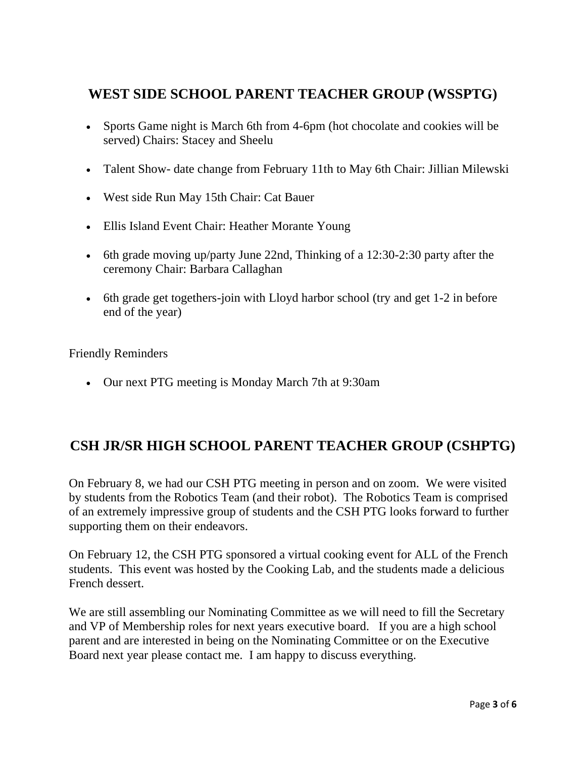### **WEST SIDE SCHOOL PARENT TEACHER GROUP (WSSPTG)**

- Sports Game night is March 6th from 4-6pm (hot chocolate and cookies will be served) Chairs: Stacey and Sheelu
- Talent Show- date change from February 11th to May 6th Chair: Jillian Milewski
- West side Run May 15th Chair: Cat Bauer
- Ellis Island Event Chair: Heather Morante Young
- 6th grade moving up/party June 22nd, Thinking of a 12:30-2:30 party after the ceremony Chair: Barbara Callaghan
- 6th grade get togethers-join with Lloyd harbor school (try and get 1-2 in before end of the year)

Friendly Reminders

• Our next PTG meeting is Monday March 7th at 9:30am

### **CSH JR/SR HIGH SCHOOL PARENT TEACHER GROUP (CSHPTG)**

On February 8, we had our CSH PTG meeting in person and on zoom. We were visited by students from the Robotics Team (and their robot). The Robotics Team is comprised of an extremely impressive group of students and the CSH PTG looks forward to further supporting them on their endeavors.

On February 12, the CSH PTG sponsored a virtual cooking event for ALL of the French students. This event was hosted by the Cooking Lab, and the students made a delicious French dessert.

We are still assembling our Nominating Committee as we will need to fill the Secretary and VP of Membership roles for next years executive board. If you are a high school parent and are interested in being on the Nominating Committee or on the Executive Board next year please contact me. I am happy to discuss everything.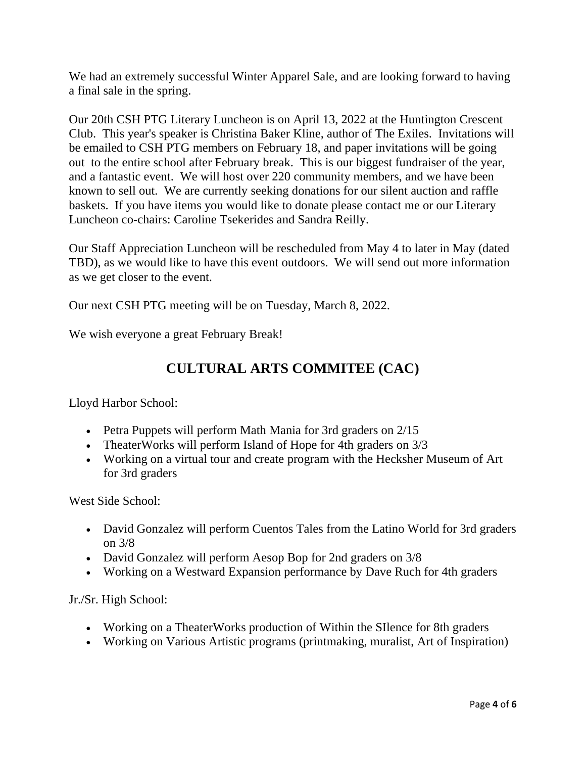We had an extremely successful Winter Apparel Sale, and are looking forward to having a final sale in the spring.

Our 20th CSH PTG Literary Luncheon is on April 13, 2022 at the Huntington Crescent Club. This year's speaker is Christina Baker Kline, author of The Exiles. Invitations will be emailed to CSH PTG members on February 18, and paper invitations will be going out to the entire school after February break. This is our biggest fundraiser of the year, and a fantastic event. We will host over 220 community members, and we have been known to sell out. We are currently seeking donations for our silent auction and raffle baskets. If you have items you would like to donate please contact me or our Literary Luncheon co-chairs: Caroline Tsekerides and Sandra Reilly.

Our Staff Appreciation Luncheon will be rescheduled from May 4 to later in May (dated TBD), as we would like to have this event outdoors. We will send out more information as we get closer to the event.

Our next CSH PTG meeting will be on Tuesday, March 8, 2022.

We wish everyone a great February Break!

### **CULTURAL ARTS COMMITEE (CAC)**

Lloyd Harbor School:

- Petra Puppets will perform Math Mania for 3rd graders on 2/15
- TheaterWorks will perform Island of Hope for 4th graders on  $3/3$
- Working on a virtual tour and create program with the Hecksher Museum of Art for 3rd graders

West Side School:

- David Gonzalez will perform Cuentos Tales from the Latino World for 3rd graders on 3/8
- David Gonzalez will perform Aesop Bop for 2nd graders on  $3/8$
- Working on a Westward Expansion performance by Dave Ruch for 4th graders

Jr./Sr. High School:

- Working on a TheaterWorks production of Within the SIIence for 8th graders
- Working on Various Artistic programs (printmaking, muralist, Art of Inspiration)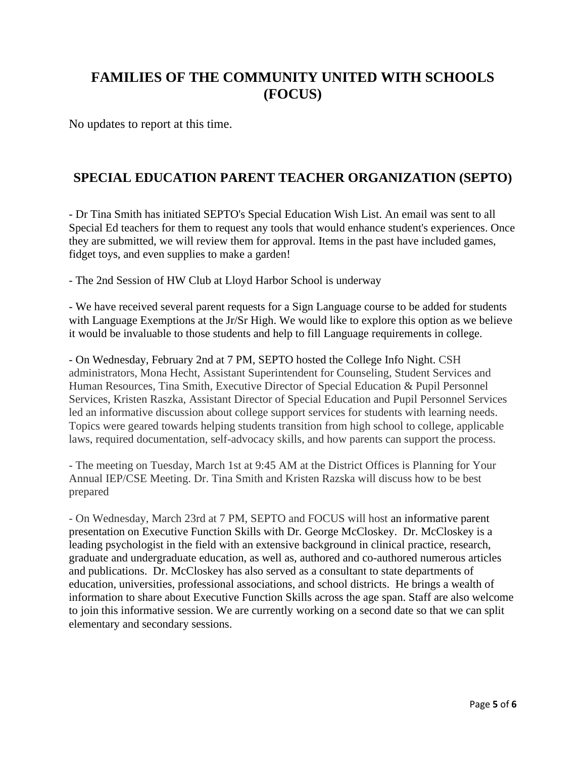# **FAMILIES OF THE COMMUNITY UNITED WITH SCHOOLS (FOCUS)**

No updates to report at this time.

#### **SPECIAL EDUCATION PARENT TEACHER ORGANIZATION (SEPTO)**

- Dr Tina Smith has initiated SEPTO's Special Education Wish List. An email was sent to all Special Ed teachers for them to request any tools that would enhance student's experiences. Once they are submitted, we will review them for approval. Items in the past have included games, fidget toys, and even supplies to make a garden!

- The 2nd Session of HW Club at Lloyd Harbor School is underway

- We have received several parent requests for a Sign Language course to be added for students with Language Exemptions at the Jr/Sr High. We would like to explore this option as we believe it would be invaluable to those students and help to fill Language requirements in college.

- On Wednesday, February 2nd at 7 PM, SEPTO hosted the College Info Night. CSH administrators, Mona Hecht, Assistant Superintendent for Counseling, Student Services and Human Resources, Tina Smith, Executive Director of Special Education & Pupil Personnel Services, Kristen Raszka, Assistant Director of Special Education and Pupil Personnel Services led an informative discussion about college support services for students with learning needs. Topics were geared towards helping students transition from high school to college, applicable laws, required documentation, self-advocacy skills, and how parents can support the process.

- The meeting on Tuesday, March 1st at 9:45 AM at the District Offices is Planning for Your Annual IEP/CSE Meeting. Dr. Tina Smith and Kristen Razska will discuss how to be best prepared

- On Wednesday, March 23rd at 7 PM, SEPTO and FOCUS will host an informative parent presentation on Executive Function Skills with Dr. George McCloskey. Dr. McCloskey is a leading psychologist in the field with an extensive background in clinical practice, research, graduate and undergraduate education, as well as, authored and co-authored numerous articles and publications. Dr. McCloskey has also served as a consultant to state departments of education, universities, professional associations, and school districts. He brings a wealth of information to share about Executive Function Skills across the age span. Staff are also welcome to join this informative session. We are currently working on a second date so that we can split elementary and secondary sessions.